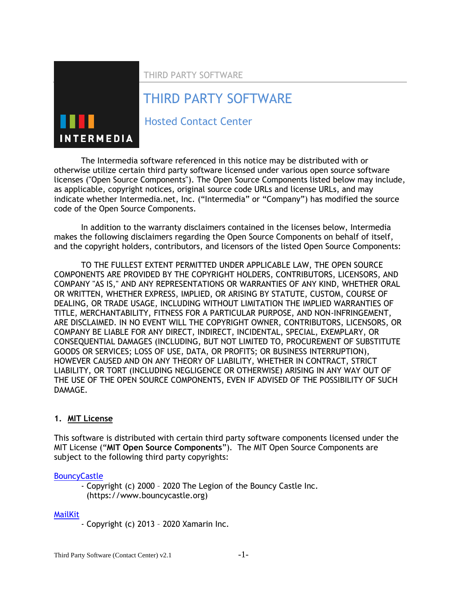THIRD PARTY SOFTWARE

# THIRD PARTY SOFTWARE



Hosted Contact Center

The Intermedia software referenced in this notice may be distributed with or otherwise utilize certain third party software licensed under various open source software licenses ("Open Source Components"). The Open Source Components listed below may include, as applicable, copyright notices, original source code URLs and license URLs, and may indicate whether Intermedia.net, Inc. ("Intermedia" or "Company") has modified the source code of the Open Source Components.

In addition to the warranty disclaimers contained in the licenses below, Intermedia makes the following disclaimers regarding the Open Source Components on behalf of itself, and the copyright holders, contributors, and licensors of the listed Open Source Components:

TO THE FULLEST EXTENT PERMITTED UNDER APPLICABLE LAW, THE OPEN SOURCE COMPONENTS ARE PROVIDED BY THE COPYRIGHT HOLDERS, CONTRIBUTORS, LICENSORS, AND COMPANY "AS IS," AND ANY REPRESENTATIONS OR WARRANTIES OF ANY KIND, WHETHER ORAL OR WRITTEN, WHETHER EXPRESS, IMPLIED, OR ARISING BY STATUTE, CUSTOM, COURSE OF DEALING, OR TRADE USAGE, INCLUDING WITHOUT LIMITATION THE IMPLIED WARRANTIES OF TITLE, MERCHANTABILITY, FITNESS FOR A PARTICULAR PURPOSE, AND NON-INFRINGEMENT, ARE DISCLAIMED. IN NO EVENT WILL THE COPYRIGHT OWNER, CONTRIBUTORS, LICENSORS, OR COMPANY BE LIABLE FOR ANY DIRECT, INDIRECT, INCIDENTAL, SPECIAL, EXEMPLARY, OR CONSEQUENTIAL DAMAGES (INCLUDING, BUT NOT LIMITED TO, PROCUREMENT OF SUBSTITUTE GOODS OR SERVICES; LOSS OF USE, DATA, OR PROFITS; OR BUSINESS INTERRUPTION), HOWEVER CAUSED AND ON ANY THEORY OF LIABILITY, WHETHER IN CONTRACT, STRICT LIABILITY, OR TORT (INCLUDING NEGLIGENCE OR OTHERWISE) ARISING IN ANY WAY OUT OF THE USE OF THE OPEN SOURCE COMPONENTS, EVEN IF ADVISED OF THE POSSIBILITY OF SUCH DAMAGE.

## **1. MIT License**

This software is distributed with certain third party software components licensed under the MIT License ("**MIT Open Source Components**"). The MIT Open Source Components are subject to the following third party copyrights:

### **[BouncyCastle](https://www.bouncycastle.org/licence.html)**

- Copyright (c) 2000 – 2020 The Legion of the Bouncy Castle Inc. (https://www.bouncycastle.org)

### [MailKit](https://github.com/jstedfast/MailKit/blob/master/License.md)

- Copyright (c) 2013 – 2020 Xamarin Inc.